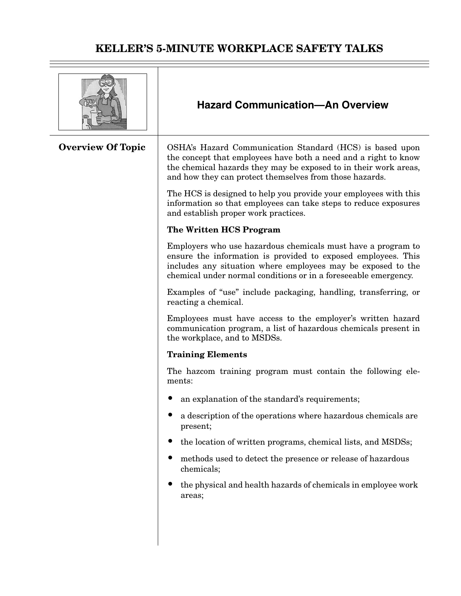|                          | <b>Hazard Communication-An Overview</b>                                                                                                                                                                                                                          |  |
|--------------------------|------------------------------------------------------------------------------------------------------------------------------------------------------------------------------------------------------------------------------------------------------------------|--|
| <b>Overview Of Topic</b> | OSHA's Hazard Communication Standard (HCS) is based upon<br>the concept that employees have both a need and a right to know<br>the chemical hazards they may be exposed to in their work areas,<br>and how they can protect themselves from those hazards.       |  |
|                          | The HCS is designed to help you provide your employees with this<br>information so that employees can take steps to reduce exposures<br>and establish proper work practices.                                                                                     |  |
|                          | The Written HCS Program                                                                                                                                                                                                                                          |  |
|                          | Employers who use hazardous chemicals must have a program to<br>ensure the information is provided to exposed employees. This<br>includes any situation where employees may be exposed to the<br>chemical under normal conditions or in a foreseeable emergency. |  |
|                          | Examples of "use" include packaging, handling, transferring, or<br>reacting a chemical.                                                                                                                                                                          |  |
|                          | Employees must have access to the employer's written hazard<br>communication program, a list of hazardous chemicals present in<br>the workplace, and to MSDSs.                                                                                                   |  |
|                          | <b>Training Elements</b>                                                                                                                                                                                                                                         |  |
|                          | The hazcom training program must contain the following ele-<br>ments:                                                                                                                                                                                            |  |
|                          | an explanation of the standard's requirements;                                                                                                                                                                                                                   |  |
|                          | a description of the operations where hazardous chemicals are<br>present;                                                                                                                                                                                        |  |
|                          | the location of written programs, chemical lists, and MSDSs;                                                                                                                                                                                                     |  |
|                          | methods used to detect the presence or release of hazardous<br>chemicals;                                                                                                                                                                                        |  |
|                          | the physical and health hazards of chemicals in employee work<br>areas;                                                                                                                                                                                          |  |
|                          |                                                                                                                                                                                                                                                                  |  |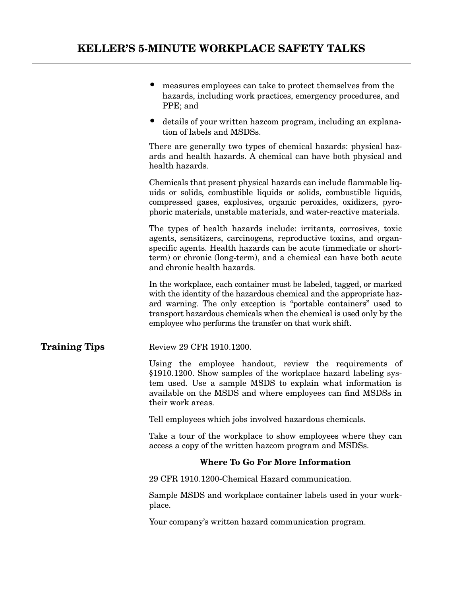|                      | measures employees can take to protect themselves from the<br>hazards, including work practices, emergency procedures, and<br>PPE; and                                                                                                                                                                                                           |
|----------------------|--------------------------------------------------------------------------------------------------------------------------------------------------------------------------------------------------------------------------------------------------------------------------------------------------------------------------------------------------|
|                      | • details of your written haze om program, including an explana-<br>tion of labels and MSDSs.                                                                                                                                                                                                                                                    |
|                      | There are generally two types of chemical hazards: physical haz-<br>ards and health hazards. A chemical can have both physical and<br>health hazards.                                                                                                                                                                                            |
|                      | Chemicals that present physical hazards can include flammable liq-<br>uids or solids, combustible liquids or solids, combustible liquids,<br>compressed gases, explosives, organic peroxides, oxidizers, pyro-<br>phoric materials, unstable materials, and water-reactive materials.                                                            |
|                      | The types of health hazards include: irritants, corrosives, toxic<br>agents, sensitizers, carcinogens, reproductive toxins, and organ-<br>specific agents. Health hazards can be acute (immediate or short-<br>term) or chronic (long-term), and a chemical can have both acute<br>and chronic health hazards.                                   |
|                      | In the workplace, each container must be labeled, tagged, or marked<br>with the identity of the hazardous chemical and the appropriate haz-<br>ard warning. The only exception is "portable containers" used to<br>transport hazardous chemicals when the chemical is used only by the<br>employee who performs the transfer on that work shift. |
| <b>Training Tips</b> | Review 29 CFR 1910.1200.                                                                                                                                                                                                                                                                                                                         |
|                      | Using the employee handout, review the requirements of<br>§1910.1200. Show samples of the workplace hazard labeling sys-<br>tem used. Use a sample MSDS to explain what information is<br>available on the MSDS and where employees can find MSDSs in<br>their work areas.                                                                       |
|                      | Tell employees which jobs involved hazardous chemicals.                                                                                                                                                                                                                                                                                          |
|                      | Take a tour of the workplace to show employees where they can<br>access a copy of the written hazeom program and MSDSs.                                                                                                                                                                                                                          |
|                      | <b>Where To Go For More Information</b>                                                                                                                                                                                                                                                                                                          |
|                      | 29 CFR 1910.1200-Chemical Hazard communication.                                                                                                                                                                                                                                                                                                  |
|                      | Sample MSDS and workplace container labels used in your work-<br>place.                                                                                                                                                                                                                                                                          |
|                      | Your company's written hazard communication program.                                                                                                                                                                                                                                                                                             |
|                      |                                                                                                                                                                                                                                                                                                                                                  |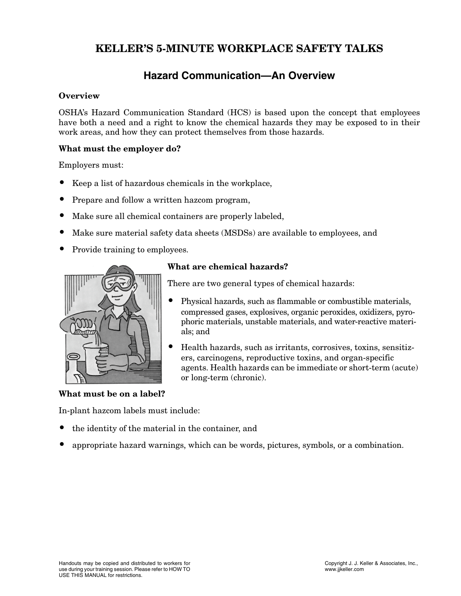### **Hazard Communication—An Overview**

#### **Overview**

OSHA's Hazard Communication Standard (HCS) is based upon the concept that employees have both a need and a right to know the chemical hazards they may be exposed to in their work areas, and how they can protect themselves from those hazards.

#### **What must the employer do?**

Employers must:

- Keep a list of hazardous chemicals in the workplace,
- Prepare and follow a written hazcom program,
- Make sure all chemical containers are properly labeled,
- Make sure material safety data sheets (MSDSs) are available to employees, and
- Provide training to employees.



#### **What are chemical hazards?**

There are two general types of chemical hazards:

- Physical hazards, such as flammable or combustible materials, compressed gases, explosives, organic peroxides, oxidizers, pyrophoric materials, unstable materials, and water-reactive materials; and
- Health hazards, such as irritants, corrosives, toxins, sensitizers, carcinogens, reproductive toxins, and organ-specific agents. Health hazards can be immediate or short-term (acute) or long-term (chronic).

#### **What must be on a label?**

In-plant hazcom labels must include:

- the identity of the material in the container, and
- appropriate hazard warnings, which can be words, pictures, symbols, or a combination.